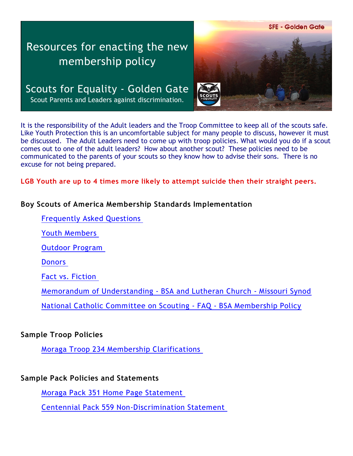**SFE - Golden Gate** 

# Resources for enacting the new membership policy

Scouts for Equality - Golden Gate Scout Parents and Leaders against discrimination.



It is the responsibility of the Adult leaders and the Troop Committee to keep all of the scouts safe. Like Youth Protection this is an uncomfortable subject for many people to discuss, however it must be discussed. The Adult Leaders need to come up with troop policies. What would you do if a scout comes out to one of the adult leaders? How about another scout? These policies need to be communicated to the parents of your scouts so they know how to advise their sons. There is no excuse for not being prepared.

**LGB Youth are up to 4 times more likely to attempt suicide then their straight peers.**

#### **Boy Scouts of America Membership Standards Implementation**

[Frequently](http://www.moragascouting.org/SFE_bs01.pdf) Asked Questions

Youth [Members](http://www.moragascouting.org/SFE_bs02.pdf)

Outdoor [Program](http://www.moragascouting.org/SFE_bs03.pdf)

**[Donors](http://www.moragascouting.org/SFE_bs04.pdf)** 

Fact vs. [Fiction](http://www.moragascouting.org/SFE_bs05.pdf)

Memorandum of [Understanding](http://www.moragascouting.org/SFE_bs06.pdf) - BSA and Lutheran Church - Missouri Synod

National Catholic Committee on Scouting - FAQ - BSA [Membership](http://www.nccs-bsa.org/faqt.php) Policy

### **Sample Troop Policies**

Moraga Troop 234 Membership [Clarifications](http://www.moragascouting.org/SFE_tp01.pdf)

### **Sample Pack Policies and Statements**

Moraga Pack 351 Home Page [Statement](http://moragascouting.org/SFE_LeU08.pdf)

Centennial Pack 559 [Non-Discrimination](https://www.scoutmanage.com/site/pack559/page/866) Statement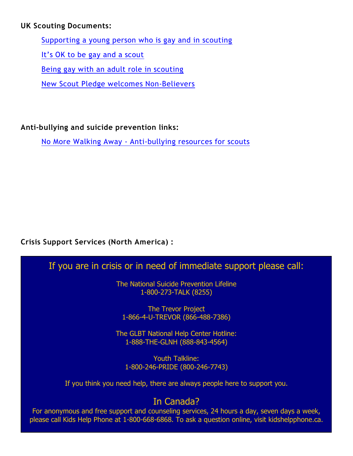### **UK Scouting Documents:**

[Supporting](http://moragascouting.org/SFE_rg01.pdf) a young person who is gay and in scouting

It's OK to be gay and a [scout](http://moragascouting.org/SFE_rg02.pdf)

Being gay with an adult role in [scouting](http://moragascouting.org/SFE_rg03.pdf)

New Scout Pledge welcomes [Non-Believers](http://www.theguardian.com/society/2013/oct/08/scouts-pledge-welcomes-non-believers)

**Anti-bullying and suicide prevention links:**

No More Walking Away - [Anti-bullying](http://moragascouting.org/NMWA_home.pdf) resources for scouts

**Crisis Support Services (North America) :**

## If you are in crisis or in need of immediate support please call:

The National Suicide Prevention Lifeline 1-800-273-TALK (8255)

The Trevor Project 1-866-4-U-TREVOR (866-488-7386)

The GLBT National Help Center Hotline: 1-888-THE-GLNH (888-843-4564)

Youth Talkline: 1-800-246-PRIDE (800-246-7743)

If you think you need help, there are always people here to support you.

## In Canada?

For anonymous and free support and counseling services, 24 hours a day, seven days a week, please call Kids Help Phone at 1-800-668-6868. To ask a question online, visit kidshelpphone.ca.